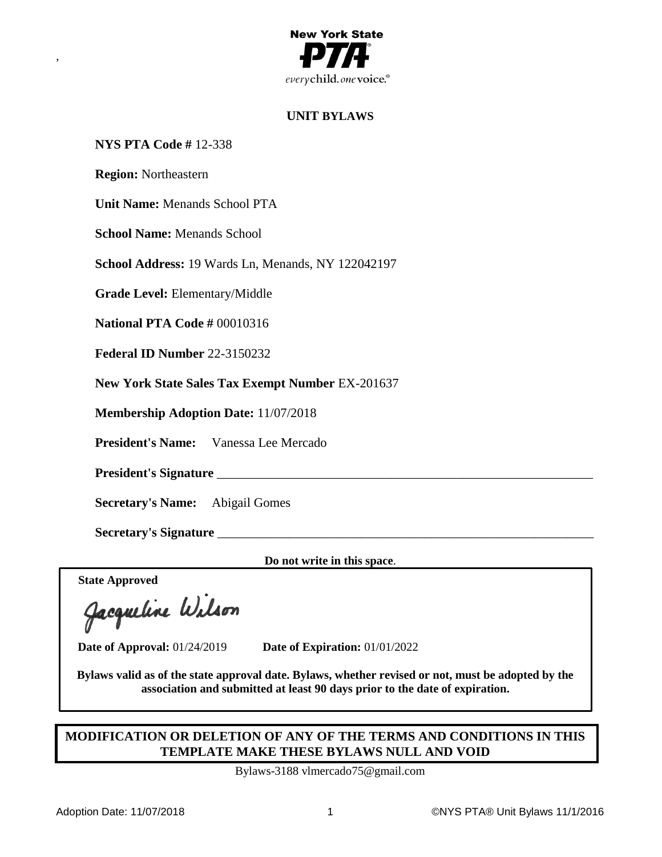

# **UNIT BYLAWS**

### **NYS PTA Code #** 12-338

**Region:** Northeastern

,

**Unit Name:** Menands School PTA

**School Name:** Menands School

**School Address:** 19 Wards Ln, Menands, NY 122042197

**Grade Level:** Elementary/Middle

**National PTA Code #** 00010316

**Federal ID Number** 22-3150232

**New York State Sales Tax Exempt Number** EX-201637

**Membership Adoption Date:** 11/07/2018

**President's Name:** Vanessa Lee Mercado

President's Signature

**Secretary's Name:** Abigail Gomes

**Secretary's Signature** \_\_\_\_\_\_\_\_\_\_\_\_\_\_\_\_\_\_\_\_\_\_\_\_\_\_\_\_\_\_\_\_\_\_\_\_\_\_\_\_\_\_\_\_\_\_\_\_\_\_\_\_\_\_\_\_\_\_

**Do not write in this space**.

**State Approved**

**Date of Approval:** 01/24/2019 **Date of Expiration:** 01/01/2022

**Bylaws valid as of the state approval date. Bylaws, whether revised or not, must be adopted by the association and submitted at least 90 days prior to the date of expiration.**

# **MODIFICATION OR DELETION OF ANY OF THE TERMS AND CONDITIONS IN THIS TEMPLATE MAKE THESE BYLAWS NULL AND VOID**

Bylaws-3188 vlmercado75@gmail.com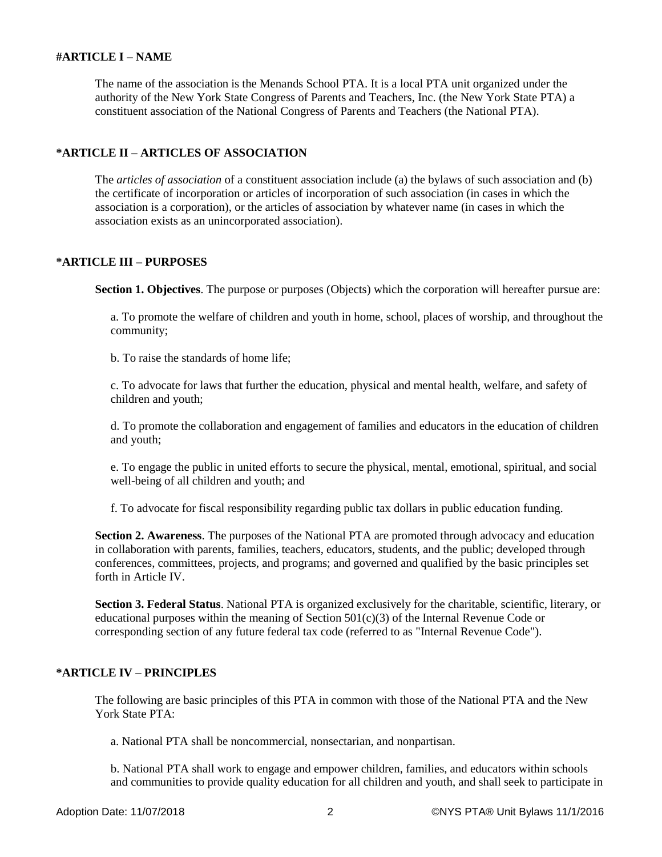### **#ARTICLE I – NAME**

The name of the association is the Menands School PTA. It is a local PTA unit organized under the authority of the New York State Congress of Parents and Teachers, Inc. (the New York State PTA) a constituent association of the National Congress of Parents and Teachers (the National PTA).

## **\*ARTICLE II – ARTICLES OF ASSOCIATION**

The *articles of association* of a constituent association include (a) the bylaws of such association and (b) the certificate of incorporation or articles of incorporation of such association (in cases in which the association is a corporation), or the articles of association by whatever name (in cases in which the association exists as an unincorporated association).

## **\*ARTICLE III – PURPOSES**

**Section 1. Objectives**. The purpose or purposes (Objects) which the corporation will hereafter pursue are:

a. To promote the welfare of children and youth in home, school, places of worship, and throughout the community;

b. To raise the standards of home life;

c. To advocate for laws that further the education, physical and mental health, welfare, and safety of children and youth;

d. To promote the collaboration and engagement of families and educators in the education of children and youth;

e. To engage the public in united efforts to secure the physical, mental, emotional, spiritual, and social well-being of all children and youth; and

f. To advocate for fiscal responsibility regarding public tax dollars in public education funding.

**Section 2. Awareness**. The purposes of the National PTA are promoted through advocacy and education in collaboration with parents, families, teachers, educators, students, and the public; developed through conferences, committees, projects, and programs; and governed and qualified by the basic principles set forth in Article IV.

**Section 3. Federal Status**. National PTA is organized exclusively for the charitable, scientific, literary, or educational purposes within the meaning of Section 501(c)(3) of the Internal Revenue Code or corresponding section of any future federal tax code (referred to as "Internal Revenue Code").

## **\*ARTICLE IV – PRINCIPLES**

The following are basic principles of this PTA in common with those of the National PTA and the New York State PTA:

a. National PTA shall be noncommercial, nonsectarian, and nonpartisan.

b. National PTA shall work to engage and empower children, families, and educators within schools and communities to provide quality education for all children and youth, and shall seek to participate in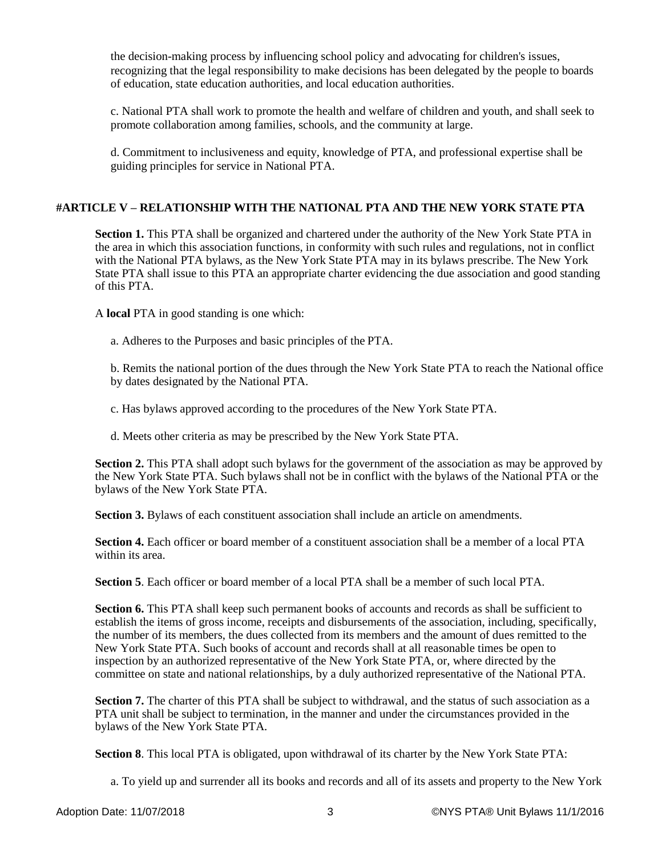the decision-making process by influencing school policy and advocating for children's issues, recognizing that the legal responsibility to make decisions has been delegated by the people to boards of education, state education authorities, and local education authorities.

c. National PTA shall work to promote the health and welfare of children and youth, and shall seek to promote collaboration among families, schools, and the community at large.

d. Commitment to inclusiveness and equity, knowledge of PTA, and professional expertise shall be guiding principles for service in National PTA.

### **#ARTICLE V – RELATIONSHIP WITH THE NATIONAL PTA AND THE NEW YORK STATE PTA**

**Section 1.** This PTA shall be organized and chartered under the authority of the New York State PTA in the area in which this association functions, in conformity with such rules and regulations, not in conflict with the National PTA bylaws, as the New York State PTA may in its bylaws prescribe. The New York State PTA shall issue to this PTA an appropriate charter evidencing the due association and good standing of this PTA.

A **local** PTA in good standing is one which:

a. Adheres to the Purposes and basic principles of the PTA.

b. Remits the national portion of the dues through the New York State PTA to reach the National office by dates designated by the National PTA.

c. Has bylaws approved according to the procedures of the New York State PTA.

d. Meets other criteria as may be prescribed by the New York State PTA.

**Section 2.** This PTA shall adopt such bylaws for the government of the association as may be approved by the New York State PTA. Such bylaws shall not be in conflict with the bylaws of the National PTA or the bylaws of the New York State PTA.

**Section 3.** Bylaws of each constituent association shall include an article on amendments.

**Section 4.** Each officer or board member of a constituent association shall be a member of a local PTA within its area.

**Section 5**. Each officer or board member of a local PTA shall be a member of such local PTA.

**Section 6.** This PTA shall keep such permanent books of accounts and records as shall be sufficient to establish the items of gross income, receipts and disbursements of the association, including, specifically, the number of its members, the dues collected from its members and the amount of dues remitted to the New York State PTA. Such books of account and records shall at all reasonable times be open to inspection by an authorized representative of the New York State PTA, or, where directed by the committee on state and national relationships, by a duly authorized representative of the National PTA.

**Section 7.** The charter of this PTA shall be subject to withdrawal, and the status of such association as a PTA unit shall be subject to termination, in the manner and under the circumstances provided in the bylaws of the New York State PTA.

**Section 8**. This local PTA is obligated, upon withdrawal of its charter by the New York State PTA:

a. To yield up and surrender all its books and records and all of its assets and property to the New York

Adoption Date: 11/07/2018 3 ©NYS PTA® Unit Bylaws 11/1/2016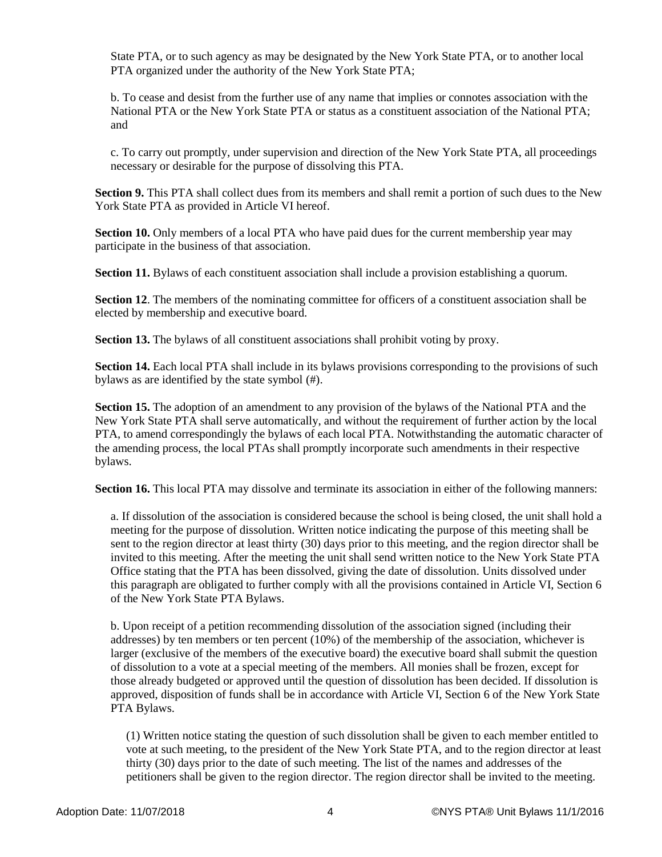State PTA, or to such agency as may be designated by the New York State PTA, or to another local PTA organized under the authority of the New York State PTA;

b. To cease and desist from the further use of any name that implies or connotes association with the National PTA or the New York State PTA or status as a constituent association of the National PTA; and

c. To carry out promptly, under supervision and direction of the New York State PTA, all proceedings necessary or desirable for the purpose of dissolving this PTA.

**Section 9.** This PTA shall collect dues from its members and shall remit a portion of such dues to the New York State PTA as provided in Article VI hereof.

**Section 10.** Only members of a local PTA who have paid dues for the current membership year may participate in the business of that association.

**Section 11.** Bylaws of each constituent association shall include a provision establishing a quorum.

**Section 12.** The members of the nominating committee for officers of a constituent association shall be elected by membership and executive board.

**Section 13.** The bylaws of all constituent associations shall prohibit voting by proxy.

**Section 14.** Each local PTA shall include in its bylaws provisions corresponding to the provisions of such bylaws as are identified by the state symbol (#).

**Section 15.** The adoption of an amendment to any provision of the bylaws of the National PTA and the New York State PTA shall serve automatically, and without the requirement of further action by the local PTA, to amend correspondingly the bylaws of each local PTA. Notwithstanding the automatic character of the amending process, the local PTAs shall promptly incorporate such amendments in their respective bylaws.

**Section 16.** This local PTA may dissolve and terminate its association in either of the following manners:

a. If dissolution of the association is considered because the school is being closed, the unit shall hold a meeting for the purpose of dissolution. Written notice indicating the purpose of this meeting shall be sent to the region director at least thirty (30) days prior to this meeting, and the region director shall be invited to this meeting. After the meeting the unit shall send written notice to the New York State PTA Office stating that the PTA has been dissolved, giving the date of dissolution. Units dissolved under this paragraph are obligated to further comply with all the provisions contained in Article VI, Section 6 of the New York State PTA Bylaws.

b. Upon receipt of a petition recommending dissolution of the association signed (including their addresses) by ten members or ten percent (10%) of the membership of the association, whichever is larger (exclusive of the members of the executive board) the executive board shall submit the question of dissolution to a vote at a special meeting of the members. All monies shall be frozen, except for those already budgeted or approved until the question of dissolution has been decided. If dissolution is approved, disposition of funds shall be in accordance with Article VI, Section 6 of the New York State PTA Bylaws.

(1) Written notice stating the question of such dissolution shall be given to each member entitled to vote at such meeting, to the president of the New York State PTA, and to the region director at least thirty (30) days prior to the date of such meeting. The list of the names and addresses of the petitioners shall be given to the region director. The region director shall be invited to the meeting.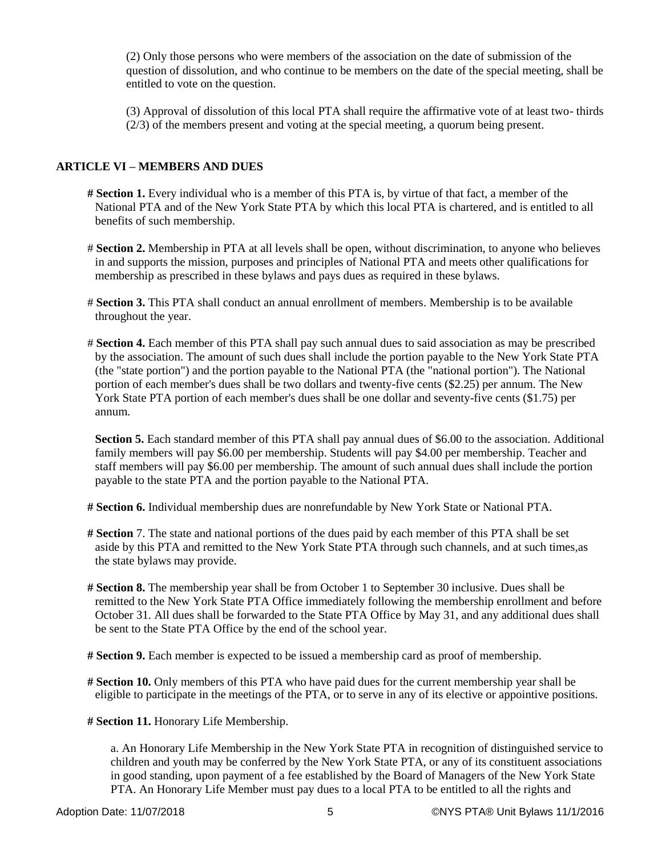(2) Only those persons who were members of the association on the date of submission of the question of dissolution, and who continue to be members on the date of the special meeting, shall be entitled to vote on the question.

(3) Approval of dissolution of this local PTA shall require the affirmative vote of at least two- thirds (2/3) of the members present and voting at the special meeting, a quorum being present.

### **ARTICLE VI – MEMBERS AND DUES**

- **# Section 1.** Every individual who is a member of this PTA is, by virtue of that fact, a member of the National PTA and of the New York State PTA by which this local PTA is chartered, and is entitled to all benefits of such membership.
- # **Section 2.** Membership in PTA at all levels shall be open, without discrimination, to anyone who believes in and supports the mission, purposes and principles of National PTA and meets other qualifications for membership as prescribed in these bylaws and pays dues as required in these bylaws.
- # **Section 3.** This PTA shall conduct an annual enrollment of members. Membership is to be available throughout the year.
- # **Section 4.** Each member of this PTA shall pay such annual dues to said association as may be prescribed by the association. The amount of such dues shall include the portion payable to the New York State PTA (the "state portion") and the portion payable to the National PTA (the "national portion"). The National portion of each member's dues shall be two dollars and twenty-five cents (\$2.25) per annum. The New York State PTA portion of each member's dues shall be one dollar and seventy-five cents (\$1.75) per annum.

**Section 5.** Each standard member of this PTA shall pay annual dues of \$6.00 to the association. Additional family members will pay \$6.00 per membership. Students will pay \$4.00 per membership. Teacher and staff members will pay \$6.00 per membership. The amount of such annual dues shall include the portion payable to the state PTA and the portion payable to the National PTA.

**# Section 6.** Individual membership dues are nonrefundable by New York State or National PTA.

- **# Section** 7. The state and national portions of the dues paid by each member of this PTA shall be set aside by this PTA and remitted to the New York State PTA through such channels, and at such times,as the state bylaws may provide.
- **# Section 8.** The membership year shall be from October 1 to September 30 inclusive. Dues shall be remitted to the New York State PTA Office immediately following the membership enrollment and before October 31. All dues shall be forwarded to the State PTA Office by May 31, and any additional dues shall be sent to the State PTA Office by the end of the school year.
- **# Section 9.** Each member is expected to be issued a membership card as proof of membership.
- **# Section 10.** Only members of this PTA who have paid dues for the current membership year shall be eligible to participate in the meetings of the PTA, or to serve in any of its elective or appointive positions.

**# Section 11.** Honorary Life Membership.

a. An Honorary Life Membership in the New York State PTA in recognition of distinguished service to children and youth may be conferred by the New York State PTA, or any of its constituent associations in good standing, upon payment of a fee established by the Board of Managers of the New York State PTA. An Honorary Life Member must pay dues to a local PTA to be entitled to all the rights and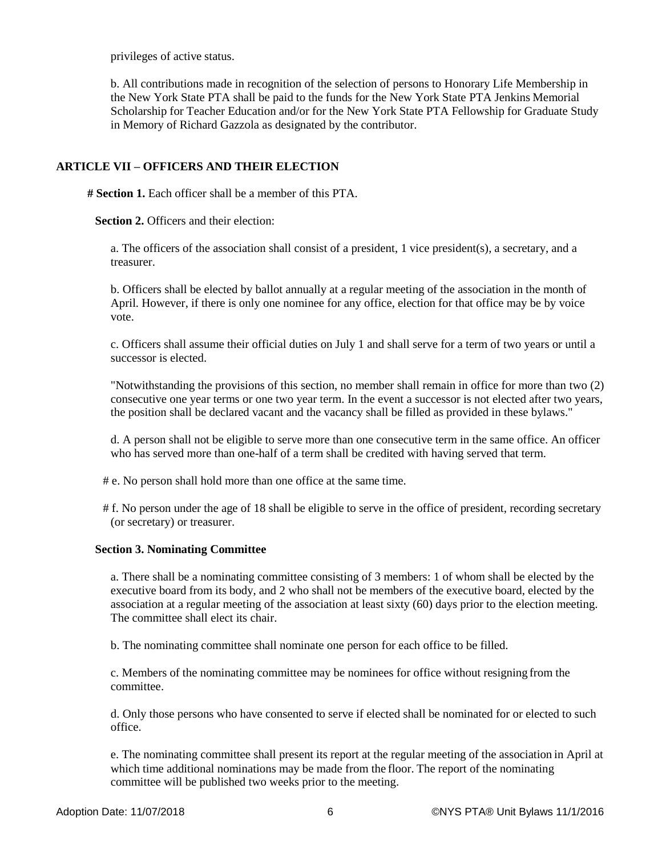privileges of active status.

b. All contributions made in recognition of the selection of persons to Honorary Life Membership in the New York State PTA shall be paid to the funds for the New York State PTA Jenkins Memorial Scholarship for Teacher Education and/or for the New York State PTA Fellowship for Graduate Study in Memory of Richard Gazzola as designated by the contributor.

## **ARTICLE VII – OFFICERS AND THEIR ELECTION**

**# Section 1.** Each officer shall be a member of this PTA.

**Section 2. Officers and their election:** 

a. The officers of the association shall consist of a president, 1 vice president(s), a secretary, and a treasurer.

b. Officers shall be elected by ballot annually at a regular meeting of the association in the month of April. However, if there is only one nominee for any office, election for that office may be by voice vote.

c. Officers shall assume their official duties on July 1 and shall serve for a term of two years or until a successor is elected.

"Notwithstanding the provisions of this section, no member shall remain in office for more than two (2) consecutive one year terms or one two year term. In the event a successor is not elected after two years, the position shall be declared vacant and the vacancy shall be filled as provided in these bylaws."

d. A person shall not be eligible to serve more than one consecutive term in the same office. An officer who has served more than one-half of a term shall be credited with having served that term.

- # e. No person shall hold more than one office at the same time.
- # f. No person under the age of 18 shall be eligible to serve in the office of president, recording secretary (or secretary) or treasurer.

### **Section 3. Nominating Committee**

a. There shall be a nominating committee consisting of 3 members: 1 of whom shall be elected by the executive board from its body, and 2 who shall not be members of the executive board, elected by the association at a regular meeting of the association at least sixty (60) days prior to the election meeting. The committee shall elect its chair.

b. The nominating committee shall nominate one person for each office to be filled.

c. Members of the nominating committee may be nominees for office without resigning from the committee.

d. Only those persons who have consented to serve if elected shall be nominated for or elected to such office.

e. The nominating committee shall present its report at the regular meeting of the association in April at which time additional nominations may be made from the floor. The report of the nominating committee will be published two weeks prior to the meeting.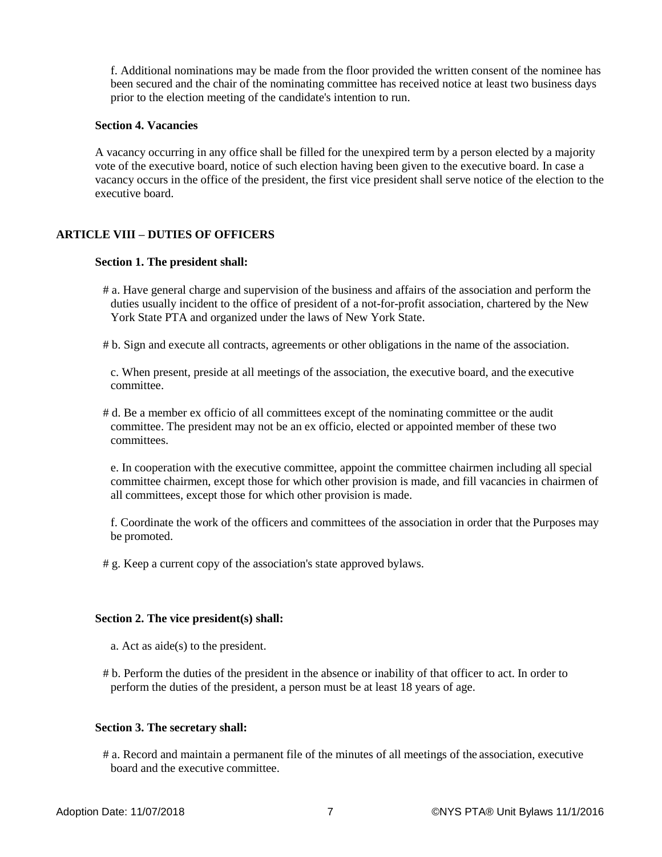f. Additional nominations may be made from the floor provided the written consent of the nominee has been secured and the chair of the nominating committee has received notice at least two business days prior to the election meeting of the candidate's intention to run.

#### **Section 4. Vacancies**

A vacancy occurring in any office shall be filled for the unexpired term by a person elected by a majority vote of the executive board, notice of such election having been given to the executive board. In case a vacancy occurs in the office of the president, the first vice president shall serve notice of the election to the executive board.

## **ARTICLE VIII – DUTIES OF OFFICERS**

#### **Section 1. The president shall:**

- # a. Have general charge and supervision of the business and affairs of the association and perform the duties usually incident to the office of president of a not-for-profit association, chartered by the New York State PTA and organized under the laws of New York State.
- # b. Sign and execute all contracts, agreements or other obligations in the name of the association.

c. When present, preside at all meetings of the association, the executive board, and the executive committee.

# d. Be a member ex officio of all committees except of the nominating committee or the audit committee. The president may not be an ex officio, elected or appointed member of these two committees.

e. In cooperation with the executive committee, appoint the committee chairmen including all special committee chairmen, except those for which other provision is made, and fill vacancies in chairmen of all committees, except those for which other provision is made.

f. Coordinate the work of the officers and committees of the association in order that the Purposes may be promoted.

# g. Keep a current copy of the association's state approved bylaws.

#### **Section 2. The vice president(s) shall:**

- a. Act as aide(s) to the president.
- # b. Perform the duties of the president in the absence or inability of that officer to act. In order to perform the duties of the president, a person must be at least 18 years of age.

### **Section 3. The secretary shall:**

# a. Record and maintain a permanent file of the minutes of all meetings of the association, executive board and the executive committee.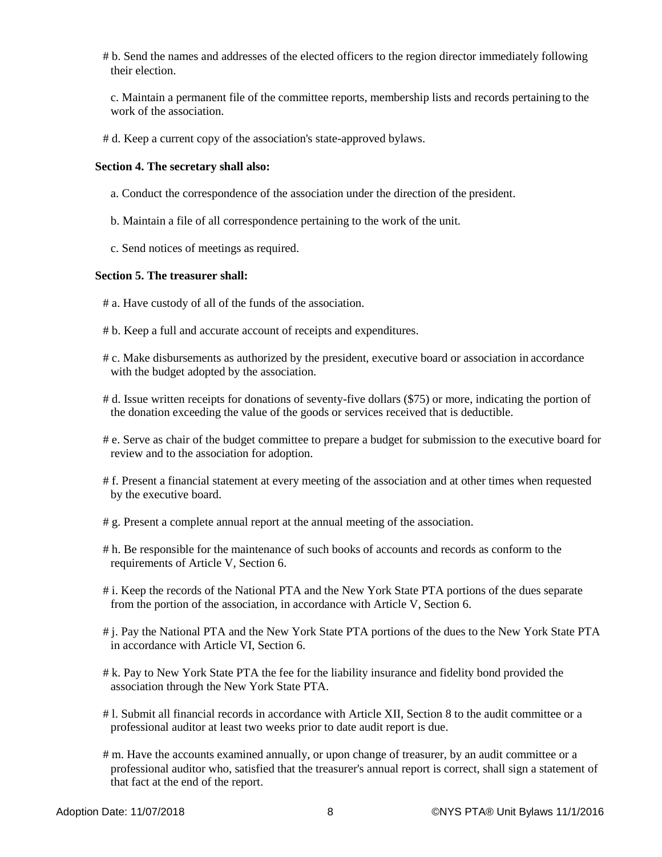# b. Send the names and addresses of the elected officers to the region director immediately following their election.

c. Maintain a permanent file of the committee reports, membership lists and records pertaining to the work of the association.

# d. Keep a current copy of the association's state-approved bylaws.

#### **Section 4. The secretary shall also:**

- a. Conduct the correspondence of the association under the direction of the president.
- b. Maintain a file of all correspondence pertaining to the work of the unit.
- c. Send notices of meetings as required.

#### **Section 5. The treasurer shall:**

- # a. Have custody of all of the funds of the association.
- # b. Keep a full and accurate account of receipts and expenditures.
- # c. Make disbursements as authorized by the president, executive board or association in accordance with the budget adopted by the association.
- # d. Issue written receipts for donations of seventy-five dollars (\$75) or more, indicating the portion of the donation exceeding the value of the goods or services received that is deductible.
- # e. Serve as chair of the budget committee to prepare a budget for submission to the executive board for review and to the association for adoption.
- # f. Present a financial statement at every meeting of the association and at other times when requested by the executive board.
- # g. Present a complete annual report at the annual meeting of the association.
- # h. Be responsible for the maintenance of such books of accounts and records as conform to the requirements of Article V, Section 6.
- # i. Keep the records of the National PTA and the New York State PTA portions of the dues separate from the portion of the association, in accordance with Article V, Section 6.
- # j. Pay the National PTA and the New York State PTA portions of the dues to the New York State PTA in accordance with Article VI, Section 6.
- # k. Pay to New York State PTA the fee for the liability insurance and fidelity bond provided the association through the New York State PTA.
- # l. Submit all financial records in accordance with Article XII, Section 8 to the audit committee or a professional auditor at least two weeks prior to date audit report is due.
- # m. Have the accounts examined annually, or upon change of treasurer, by an audit committee or a professional auditor who, satisfied that the treasurer's annual report is correct, shall sign a statement of that fact at the end of the report.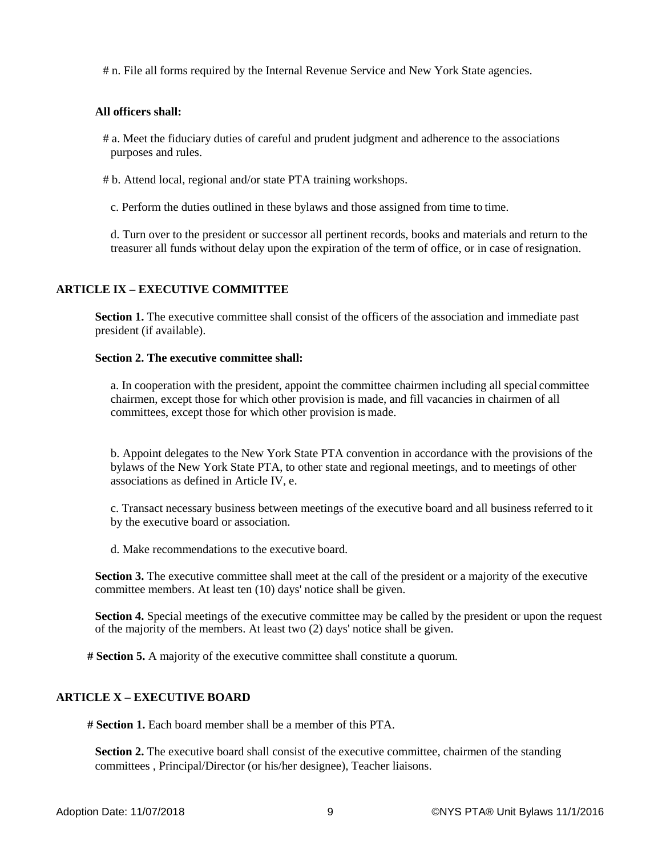# n. File all forms required by the Internal Revenue Service and New York State agencies.

### **All officers shall:**

# a. Meet the fiduciary duties of careful and prudent judgment and adherence to the associations purposes and rules.

# b. Attend local, regional and/or state PTA training workshops.

c. Perform the duties outlined in these bylaws and those assigned from time to time.

d. Turn over to the president or successor all pertinent records, books and materials and return to the treasurer all funds without delay upon the expiration of the term of office, or in case of resignation.

### **ARTICLE IX – EXECUTIVE COMMITTEE**

**Section 1.** The executive committee shall consist of the officers of the association and immediate past president (if available).

#### **Section 2. The executive committee shall:**

a. In cooperation with the president, appoint the committee chairmen including all special committee chairmen, except those for which other provision is made, and fill vacancies in chairmen of all committees, except those for which other provision is made.

b. Appoint delegates to the New York State PTA convention in accordance with the provisions of the bylaws of the New York State PTA, to other state and regional meetings, and to meetings of other associations as defined in Article IV, e.

c. Transact necessary business between meetings of the executive board and all business referred to it by the executive board or association.

d. Make recommendations to the executive board.

**Section 3.** The executive committee shall meet at the call of the president or a majority of the executive committee members. At least ten (10) days' notice shall be given.

**Section 4.** Special meetings of the executive committee may be called by the president or upon the request of the majority of the members. At least two (2) days' notice shall be given.

**# Section 5.** A majority of the executive committee shall constitute a quorum.

## **ARTICLE X – EXECUTIVE BOARD**

**# Section 1.** Each board member shall be a member of this PTA.

**Section 2.** The executive board shall consist of the executive committee, chairmen of the standing committees , Principal/Director (or his/her designee), Teacher liaisons.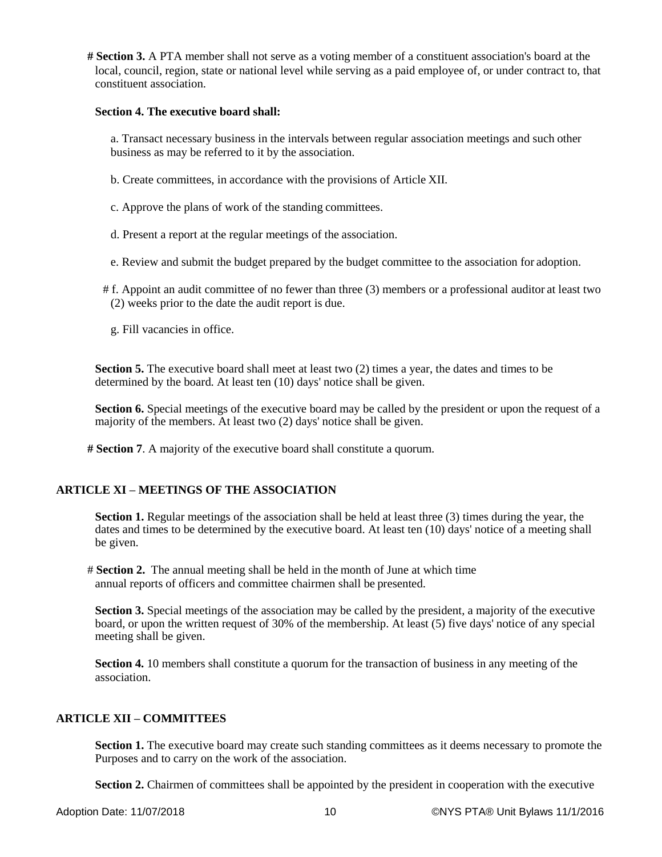**# Section 3.** A PTA member shall not serve as a voting member of a constituent association's board at the local, council, region, state or national level while serving as a paid employee of, or under contract to, that constituent association.

#### **Section 4. The executive board shall:**

a. Transact necessary business in the intervals between regular association meetings and such other business as may be referred to it by the association.

- b. Create committees, in accordance with the provisions of Article XII.
- c. Approve the plans of work of the standing committees.
- d. Present a report at the regular meetings of the association.
- e. Review and submit the budget prepared by the budget committee to the association for adoption.
- # f. Appoint an audit committee of no fewer than three (3) members or a professional auditor at least two (2) weeks prior to the date the audit report is due.
	- g. Fill vacancies in office.

**Section 5.** The executive board shall meet at least two (2) times a year, the dates and times to be determined by the board. At least ten (10) days' notice shall be given.

**Section 6.** Special meetings of the executive board may be called by the president or upon the request of a majority of the members. At least two (2) days' notice shall be given.

**# Section 7**. A majority of the executive board shall constitute a quorum.

### **ARTICLE XI – MEETINGS OF THE ASSOCIATION**

**Section 1.** Regular meetings of the association shall be held at least three (3) times during the year, the dates and times to be determined by the executive board. At least ten (10) days' notice of a meeting shall be given.

# **Section 2.** The annual meeting shall be held in the month of June at which time annual reports of officers and committee chairmen shall be presented.

**Section 3.** Special meetings of the association may be called by the president, a majority of the executive board, or upon the written request of 30% of the membership. At least (5) five days' notice of any special meeting shall be given.

**Section 4.** 10 members shall constitute a quorum for the transaction of business in any meeting of the association.

### **ARTICLE XII – COMMITTEES**

**Section 1.** The executive board may create such standing committees as it deems necessary to promote the Purposes and to carry on the work of the association.

**Section 2.** Chairmen of committees shall be appointed by the president in cooperation with the executive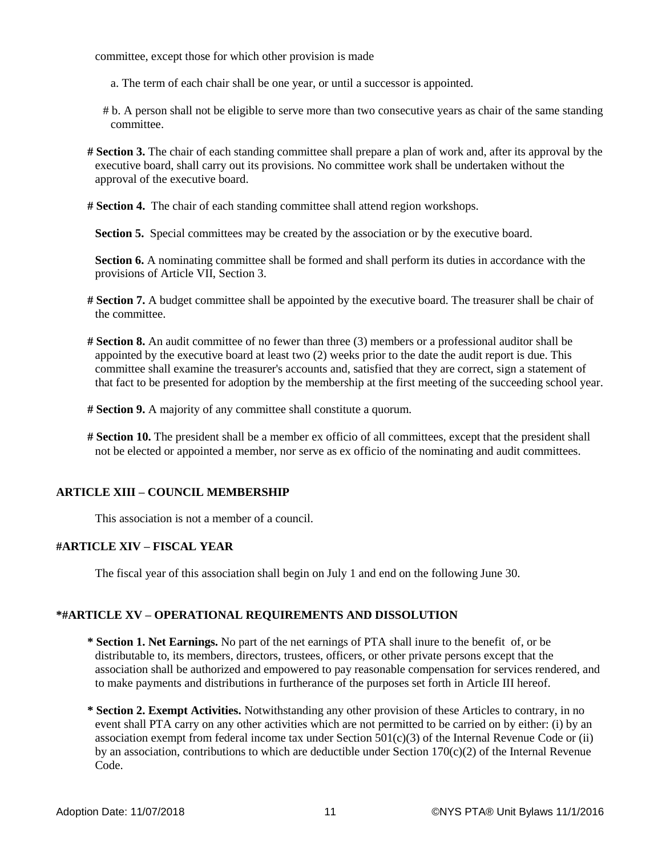committee, except those for which other provision is made

- a. The term of each chair shall be one year, or until a successor is appointed.
- # b. A person shall not be eligible to serve more than two consecutive years as chair of the same standing committee.
- **# Section 3.** The chair of each standing committee shall prepare a plan of work and, after its approval by the executive board, shall carry out its provisions. No committee work shall be undertaken without the approval of the executive board.
- **# Section 4.** The chair of each standing committee shall attend region workshops.

**Section 5.** Special committees may be created by the association or by the executive board.

**Section 6.** A nominating committee shall be formed and shall perform its duties in accordance with the provisions of Article VII, Section 3.

- **# Section 7.** A budget committee shall be appointed by the executive board. The treasurer shall be chair of the committee.
- **# Section 8.** An audit committee of no fewer than three (3) members or a professional auditor shall be appointed by the executive board at least two (2) weeks prior to the date the audit report is due. This committee shall examine the treasurer's accounts and, satisfied that they are correct, sign a statement of that fact to be presented for adoption by the membership at the first meeting of the succeeding school year.
- **# Section 9.** A majority of any committee shall constitute a quorum.
- **# Section 10.** The president shall be a member ex officio of all committees, except that the president shall not be elected or appointed a member, nor serve as ex officio of the nominating and audit committees.

### **ARTICLE XIII – COUNCIL MEMBERSHIP**

This association is not a member of a council.

### **#ARTICLE XIV – FISCAL YEAR**

The fiscal year of this association shall begin on July 1 and end on the following June 30.

### **\*#ARTICLE XV – OPERATIONAL REQUIREMENTS AND DISSOLUTION**

- **\* Section 1. Net Earnings.** No part of the net earnings of PTA shall inure to the benefit of, or be distributable to, its members, directors, trustees, officers, or other private persons except that the association shall be authorized and empowered to pay reasonable compensation for services rendered, and to make payments and distributions in furtherance of the purposes set forth in Article III hereof.
- **\* Section 2. Exempt Activities.** Notwithstanding any other provision of these Articles to contrary, in no event shall PTA carry on any other activities which are not permitted to be carried on by either: (i) by an association exempt from federal income tax under Section  $501(c)(3)$  of the Internal Revenue Code or (ii) by an association, contributions to which are deductible under Section  $170(c)(2)$  of the Internal Revenue Code.